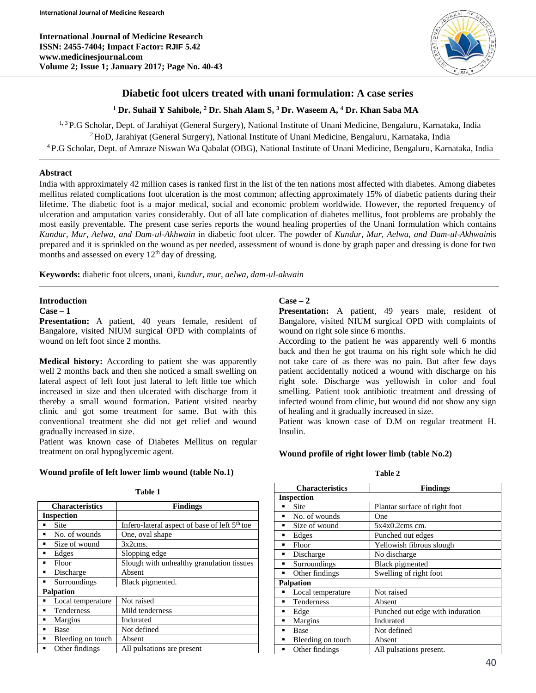**International Journal of Medicine Research ISSN: 2455-7404; Impact Factor: RJIF 5.42 www.medicinesjournal.com Volume 2; Issue 1; January 2017; Page No. 40-43**



# **Diabetic foot ulcers treated with unani formulation: A case series**

**<sup>1</sup> Dr. Suhail Y Sahibole, <sup>2</sup> Dr. Shah Alam S, <sup>3</sup> Dr. Waseem A, <sup>4</sup> Dr. Khan Saba MA**

1, 3 P.G Scholar, Dept. of Jarahiyat (General Surgery), National Institute of Unani Medicine, Bengaluru, Karnataka, India <sup>2</sup> HoD, Jarahiyat (General Surgery), National Institute of Unani Medicine, Bengaluru, Karnataka, India <sup>4</sup> P.G Scholar, Dept. of Amraze Niswan Wa Qabalat (OBG), National Institute of Unani Medicine, Bengaluru, Karnataka, India

### **Abstract**

India with approximately 42 million cases is ranked first in the list of the ten nations most affected with diabetes. Among diabetes mellitus related complications foot ulceration is the most common; affecting approximately 15% of diabetic patients during their lifetime. The diabetic foot is a major medical, social and economic problem worldwide. However, the reported frequency of ulceration and amputation varies considerably. Out of all late complication of diabetes mellitus, foot problems are probably the most easily preventable. The present case series reports the wound healing properties of the Unani formulation which contains *Kundur, Mur, Aelwa, and Dam-ul-Akhwain* in diabetic foot ulcer. The powder of *Kundur, Mur, Aelwa, and Dam-ul-Akhwain*is prepared and it is sprinkled on the wound as per needed, assessment of wound is done by graph paper and dressing is done for two months and assessed on every  $12<sup>th</sup>$  day of dressing.

**Keywords:** diabetic foot ulcers, unani, *kundur, mur, aelwa, dam-ul-akwain*

# **Introduction**

**Case – 1**

**Presentation:** A patient, 40 years female, resident of Bangalore, visited NIUM surgical OPD with complaints of wound on left foot since 2 months.

**Medical history:** According to patient she was apparently well 2 months back and then she noticed a small swelling on lateral aspect of left foot just lateral to left little toe which increased in size and then ulcerated with discharge from it thereby a small wound formation. Patient visited nearby clinic and got some treatment for same. But with this conventional treatment she did not get relief and wound gradually increased in size.

Patient was known case of Diabetes Mellitus on regular treatment on oral hypoglycemic agent.

### **Wound profile of left lower limb wound (table No.1)**

|  | 'able |  |
|--|-------|--|
|  |       |  |

| <b>Characteristics</b> | <b>Findings</b>                                           |  |
|------------------------|-----------------------------------------------------------|--|
| <b>Inspection</b>      |                                                           |  |
| <b>Site</b>            | Infero-lateral aspect of base of left 5 <sup>th</sup> toe |  |
| No. of wounds          | One, oval shape                                           |  |
| Size of wound          | 3x2cms.                                                   |  |
| Edges                  | Slopping edge                                             |  |
| Floor                  | Slough with unhealthy granulation tissues                 |  |
| Discharge              | Absent                                                    |  |
| Surroundings           | Black pigmented.                                          |  |
| <b>Palpation</b>       |                                                           |  |
| Local temperature      | Not raised                                                |  |
| Tenderness             | Mild tenderness                                           |  |
| Margins                | Indurated                                                 |  |
| Base                   | Not defined                                               |  |
| Bleeding on touch      | Absent                                                    |  |
| Other findings         | All pulsations are present                                |  |

## **Case – 2**

**Presentation:** A patient, 49 years male, resident of Bangalore, visited NIUM surgical OPD with complaints of wound on right sole since 6 months.

According to the patient he was apparently well 6 months back and then he got trauma on his right sole which he did not take care of as there was no pain. But after few days patient accidentally noticed a wound with discharge on his right sole. Discharge was yellowish in color and foul smelling. Patient took antibiotic treatment and dressing of infected wound from clinic, but wound did not show any sign of healing and it gradually increased in size.

Patient was known case of D.M on regular treatment H. Insulin.

### **Wound profile of right lower limb (table No.2)**

**Table 2**

| <b>Characteristics</b>    | <b>Findings</b>                  |  |  |
|---------------------------|----------------------------------|--|--|
| <b>Inspection</b>         |                                  |  |  |
| Site                      | Plantar surface of right foot    |  |  |
| No. of wounds<br>٠        | One                              |  |  |
| Size of wound<br>٠        | $5x4x0.2cm$ s cm.                |  |  |
| Edges<br>٠                | Punched out edges                |  |  |
| Floor<br>$\blacksquare$   | Yellowish fibrous slough         |  |  |
| Discharge<br>٠            | No discharge                     |  |  |
| Surroundings<br>٠         | Black pigmented                  |  |  |
| Other findings            | Swelling of right foot           |  |  |
| <b>Palpation</b>          |                                  |  |  |
| Local temperature         | Not raised                       |  |  |
| Tenderness<br>٠           | Absent                           |  |  |
| Edge<br>٠                 | Punched out edge with induration |  |  |
| Margins<br>$\blacksquare$ | Indurated                        |  |  |
| Base                      | Not defined                      |  |  |
| Bleeding on touch         | Absent                           |  |  |
| Other findings            | All pulsations present.          |  |  |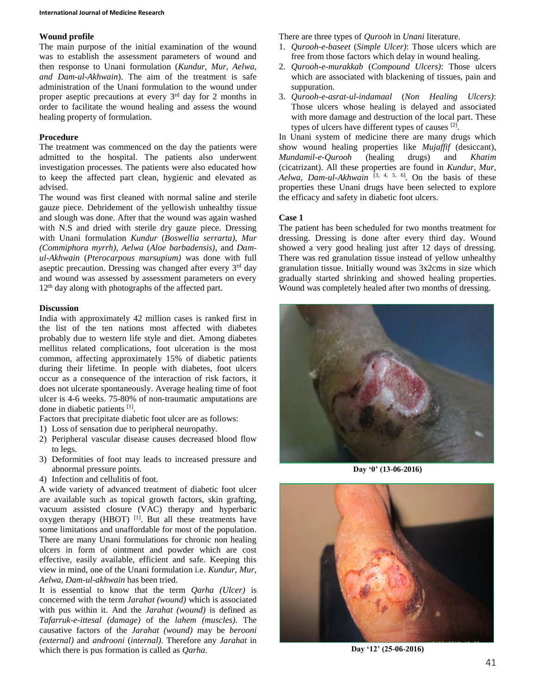## **Wound profile**

The main purpose of the initial examination of the wound was to establish the assessment parameters of wound and then response to Unani formulation (*Kundur, Mur, Aelwa, and Dam-ul-Akhwain*). The aim of the treatment is safe administration of the Unani formulation to the wound under proper aseptic precautions at every 3rd day for 2 months in order to facilitate the wound healing and assess the wound healing property of formulation.

## **Procedure**

The treatment was commenced on the day the patients were admitted to the hospital. The patients also underwent investigation processes. The patients were also educated how to keep the affected part clean, hygienic and elevated as advised.

The wound was first cleaned with normal saline and sterile gauze piece. Debridement of the yellowish unhealthy tissue and slough was done. After that the wound was again washed with N.S and dried with sterile dry gauze piece. Dressing with Unani formulation *Kundur* (*Boswellia serrarta)*, *Mur (Commiphora myrrh)*, *Aelwa* (*Aloe barbadensis)*, and *Damul-Akhwain* (*Pterocarpous marsupium)* was done with full aseptic precaution. Dressing was changed after every  $3<sup>rd</sup>$  day and wound was assessed by assessment parameters on every 12<sup>th</sup> day along with photographs of the affected part.

## **Discussion**

India with approximately 42 million cases is ranked first in the list of the ten nations most affected with diabetes probably due to western life style and diet. Among diabetes mellitus related complications, foot ulceration is the most common, affecting approximately 15% of diabetic patients during their lifetime. In people with diabetes, foot ulcers occur as a consequence of the interaction of risk factors, it does not ulcerate spontaneously. Average healing time of foot ulcer is 4-6 weeks. 75-80% of non-traumatic amputations are done in diabetic patients [1].

Factors that precipitate diabetic foot ulcer are as follows:

- 1) Loss of sensation due to peripheral neuropathy.
- 2) Peripheral vascular disease causes decreased blood flow to legs.
- 3) Deformities of foot may leads to increased pressure and abnormal pressure points.
- 4) Infection and cellulitis of foot.

A wide variety of advanced treatment of diabetic foot ulcer are available such as topical growth factors, skin grafting, vacuum assisted closure (VAC) therapy and hyperbaric oxygen therapy  $(HBOT)$  [1]. But all these treatments have some limitations and unaffordable for most of the population. There are many Unani formulations for chronic non healing ulcers in form of ointment and powder which are cost effective, easily available, efficient and safe. Keeping this view in mind, one of the Unani formulation i.e. *Kundur, Mur, Aelwa, Dam-ul-akhwain* has been tried.

It is essential to know that the term *Qarha (Ulcer)* is concerned with the term *Jarahat (wound)* which is associated with pus within it. And the *Jarahat (wound)* is defined as *Tafarruk-e-ittesal (damage)* of the *lahem (muscles)*. The causative factors of the *Jarahat (wound)* may be *berooni (external)* and *androoni* (*internal)*. Therefore any *Jarahat* in which there is pus formation is called as *Qarha*.

There are three types of *Qurooh* in *Unani* literature.

- 1. *Qurooh-e-baseet* (*Simple Ulcer)*: Those ulcers which are free from those factors which delay in wound healing.
- 2. *Qurooh-e-murakkab* (*Compound Ulcers)*: Those ulcers which are associated with blackening of tissues, pain and suppuration.
- 3. *Qurooh-e-asrat-ul-indamaal* (*Non Healing Ulcers)*: Those ulcers whose healing is delayed and associated with more damage and destruction of the local part. These types of ulcers have different types of causes [2].

In Unani system of medicine there are many drugs which show wound healing properties like *Mujaffif* (desiccant), *Mundamil-e-Qurooh* (healing drugs) and *Khatim* (cicatrizant). All these properties are found in *Kundur, Mur,*  Aelwa, Dam-ul-Akhwain<sup>[3, 4, 5, 6]</sup>. On the basis of these properties these Unani drugs have been selected to explore the efficacy and safety in diabetic foot ulcers.

## **Case 1**

The patient has been scheduled for two months treatment for dressing. Dressing is done after every third day. Wound showed a very good healing just after 12 days of dressing. There was red granulation tissue instead of yellow unhealthy granulation tissue. Initially wound was 3x2cms in size which gradually started shrinking and showed healing properties. Wound was completely healed after two months of dressing.



**Day '0' (13-06-2016)**



**Day '12' (25-06-2016)**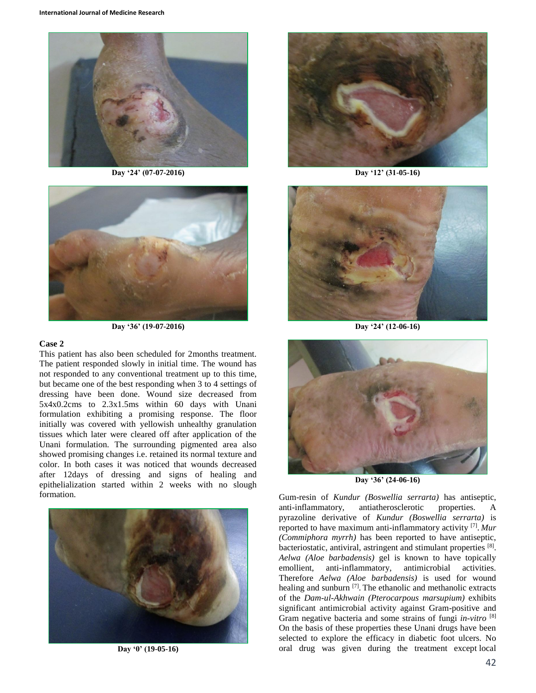

**Day '24' (07-07-2016)**



**Day '36' (19-07-2016)**

#### **Case 2**

This patient has also been scheduled for 2months treatment. The patient responded slowly in initial time. The wound has not responded to any conventional treatment up to this time, but became one of the best responding when 3 to 4 settings of dressing have been done. Wound size decreased from 5x4x0.2cms to 2.3x1.5ms within 60 days with Unani formulation exhibiting a promising response. The floor initially was covered with yellowish unhealthy granulation tissues which later were cleared off after application of the Unani formulation. The surrounding pigmented area also showed promising changes i.e. retained its normal texture and color. In both cases it was noticed that wounds decreased after 12days of dressing and signs of healing and epithelialization started within 2 weeks with no slough formation.



**Day '0' (19-05-16)**



**Day '12' (31-05-16)**



**Day '24' (12-06-16)**



**Day '36' (24-06-16)**

Gum-resin of *Kundur (Boswellia serrarta)* has antiseptic, anti-inflammatory, antiatherosclerotic properties. A pyrazoline derivative of *Kundur (Boswellia serrarta)* is reported to have maximum anti-inflammatory activity [7] . *Mur (Commiphora myrrh)* has been reported to have antiseptic, bacteriostatic, antiviral, astringent and stimulant properties [8]. *Aelwa (Aloe barbadensis)* gel is known to have topically emollient, anti-inflammatory, antimicrobial activities. Therefore *Aelwa (Aloe barbadensis)* is used for wound healing and sunburn <sup>[7]</sup>. The ethanolic and methanolic extracts of the *Dam-ul-Akhwain (Pterocarpous marsupium)* exhibits significant antimicrobial activity against Gram-positive and Gram negative bacteria and some strains of fungi *in-vitro* [8] On the basis of these properties these Unani drugs have been selected to explore the efficacy in diabetic foot ulcers. No oral drug was given during the treatment except local